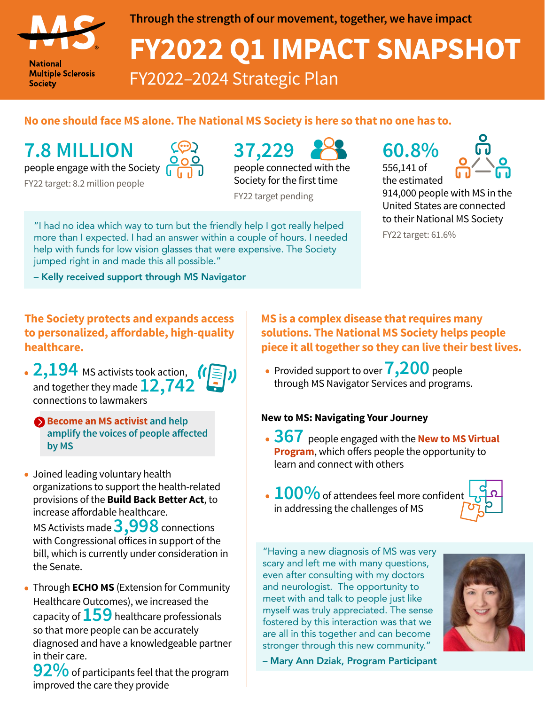

**National Multiple Sclerosis Society** 

#### **Through the strength of our movement, together, we have impact**

# **FY2022 Q1 IMPACT SNAPSHOT** FY2022–2024 Strategic Plan

### **No one should face MS alone. The National MS Society is here so that no one has to.**

## **7.8 MILLION 37,229 60.8%**

people engage with the Society

FY22 target: 8.2 million people



people connected with the Society for the first time

FY22 target pending

"I had no idea which way to turn but the friendly help I got really helped more than I expected. I had an answer within a couple of hours. I needed help with funds for low vision glasses that were expensive. The Society jumped right in and made this all possible."

– Kelly received support through MS Navigator

556,141 of the estimated



914,000 people with MS in the United States are connected to their National MS Society

FY22 target: 61.6%

**The Society protects and expands access to personalized, affordable, high-quality healthcare.**

- **2,194** MS activists took action,  $\binom{r}{r}$ , **200** people<br>and together they made **12,742** through MS Navigator Services and programs. and together they made**12,742** connections to lawmakers
	- **[Become an MS activist](https://www.nationalmssociety.org/Get-Involved/Advocate-for-Change) and help amplify the voices of people affected by MS**
- Joined leading voluntary health organizations to support the health-related provisions of the **Build Back Better Act**, to increase affordable healthcare. MS Activists made **3,998** connections with Congressional offices in support of the bill, which is currently under consideration in the Senate.
- Through **ECHO MS** (Extension for Community Healthcare Outcomes), we increased the capacity of **159** healthcare professionals so that more people can be accurately diagnosed and have a knowledgeable partner in their care.

**92%** of participants feel that the program improved the care they provide

#### **MS is a complex disease that requires many solutions. The National MS Society helps people piece it all together so they can live their best lives.**

• Provided support to over **7,200** people through MS Navigator Services and programs.

#### **New to MS: Navigating Your Journey**

- **367** people engaged with the **[New to MS Virtual](https://www.nationalmssociety.org/Symptoms-Diagnosis/Newly-Diagnosed)  [Program](https://www.nationalmssociety.org/Symptoms-Diagnosis/Newly-Diagnosed)**, which offers people the opportunity to learn and connect with others
- $\cdot$  100% of attendees feel more confident in addressing the challenges of MS



"Having a new diagnosis of MS was very scary and left me with many questions, even after consulting with my doctors and neurologist. The opportunity to meet with and talk to people just like myself was truly appreciated. The sense fostered by this interaction was that we are all in this together and can become stronger through this new community."



– Mary Ann Dziak, Program Participant